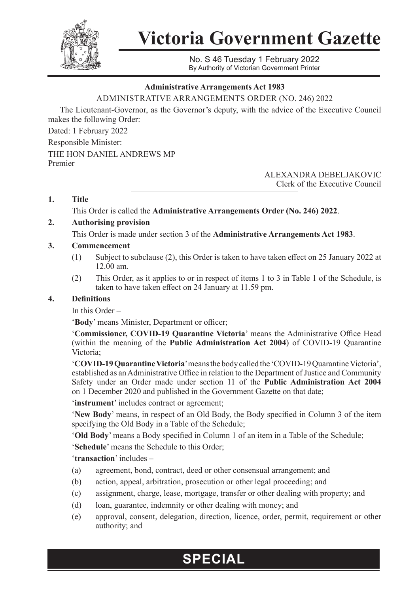

**Victoria Government Gazette**

No. S 46 Tuesday 1 February 2022 By Authority of Victorian Government Printer

#### **Administrative Arrangements Act 1983**

#### ADMINISTRATIVE ARRANGEMENTS ORDER (NO. 246) 2022

The Lieutenant-Governor, as the Governor's deputy, with the advice of the Executive Council makes the following Order:

Dated: 1 February 2022

Responsible Minister:

THE HON DANIEL ANDREWS MP Premier

> ALEXANDRA DEBELJAKOVIC Clerk of the Executive Council

#### **1. Title**

This Order is called the **Administrative Arrangements Order (No. 246) 2022**.

**2. Authorising provision**

This Order is made under section 3 of the **Administrative Arrangements Act 1983**.

#### **3. Commencement**

- (1) Subject to subclause  $(2)$ , this Order is taken to have taken effect on 25 January 2022 at 12.00 am.
- (2) This Order, as it applies to or in respect of items 1 to 3 in Table 1 of the Schedule, is taken to have taken effect on 24 January at 11.59 pm.

#### **4. Definitions**

In this Order –

'**Body**' means Minister, Department or officer;

'**Commissioner, COVID-19 Quarantine Victoria**' means the Administrative Office Head (within the meaning of the **Public Administration Act 2004**) of COVID-19 Quarantine Victoria;

'**COVID-19 Quarantine Victoria**'meansthebodycalledthe 'COVID-19QuarantineVictoria', established as an Administrative Office in relation to the Department of Justice and Community Safety under an Order made under section 11 of the **Public Administration Act 2004** on 1 December 2020 and published in the Government Gazette on that date;

'**instrument**' includes contract or agreement;

'**New Body**' means, in respect of an Old Body, the Body specified in Column 3 of the item specifying the Old Body in a Table of the Schedule;

'**Old Body**' means a Body specified in Column 1 of an item in a Table of the Schedule;

'**Schedule**' means the Schedule to this Order;

'**transaction**' includes –

- (a) agreement, bond, contract, deed or other consensual arrangement; and
- (b) action, appeal, arbitration, prosecution or other legal proceeding; and
- (c) assignment, charge, lease, mortgage, transfer or other dealing with property; and
- (d) loan, guarantee, indemnity or other dealing with money; and
- (e) approval, consent, delegation, direction, licence, order, permit, requirement or other authority; and

# **SPECIAL**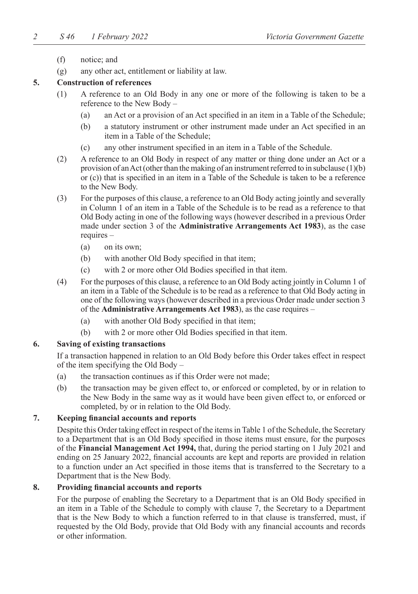- (f) notice; and
- (g) any other act, entitlement or liability at law.

#### **5. Construction of references**

- (1) A reference to an Old Body in any one or more of the following is taken to be a reference to the New Body –
	- (a) an Act or a provision of an Act specified in an item in a Table of the Schedule;
	- (b) a statutory instrument or other instrument made under an Act specified in an item in a Table of the Schedule;
	- (c) any other instrument specified in an item in a Table of the Schedule.
- (2) A reference to an Old Body in respect of any matter or thing done under an Act or a provision of an Act (other than the making of an instrument referred to in subclause (1)(b) or (c)) that is specified in an item in a Table of the Schedule is taken to be a reference to the New Body.
- (3) For the purposes of this clause, a reference to an Old Body acting jointly and severally in Column 1 of an item in a Table of the Schedule is to be read as a reference to that Old Body acting in one of the following ways (however described in a previous Order made under section 3 of the **Administrative Arrangements Act 1983**), as the case requires –
	- (a) on its own;
	- (b) with another Old Body specified in that item;
	- (c) with 2 or more other Old Bodies specified in that item.
- (4) For the purposes of this clause, a reference to an Old Body acting jointly in Column 1 of an item in a Table of the Schedule is to be read as a reference to that Old Body acting in one of the following ways (however described in a previous Order made under section 3 of the **Administrative Arrangements Act 1983**), as the case requires –
	- (a) with another Old Body specified in that item;
	- (b) with 2 or more other Old Bodies specified in that item.

#### **6. Saving of existing transactions**

If a transaction happened in relation to an Old Body before this Order takes effect in respect of the item specifying the Old Body –

- (a) the transaction continues as if this Order were not made;
- (b) the transaction may be given effect to, or enforced or completed, by or in relation to the New Body in the same way as it would have been given effect to, or enforced or completed, by or in relation to the Old Body.

#### **7. Keeping financial accounts and reports**

Despite this Order taking effect in respect of the itemsin Table 1 of the Schedule, the Secretary to a Department that is an Old Body specified in those items must ensure, for the purposes of the **Financial Management Act 1994,** that, during the period starting on 1 July 2021 and ending on 25 January 2022, financial accounts are kept and reports are provided in relation to a function under an Act specified in those items that is transferred to the Secretary to a Department that is the New Body.

#### **8. Providing financial accounts and reports**

For the purpose of enabling the Secretary to a Department that is an Old Body specified in an item in a Table of the Schedule to comply with clause 7, the Secretary to a Department that is the New Body to which a function referred to in that clause is transferred, must, if requested by the Old Body, provide that Old Body with any financial accounts and records or other information.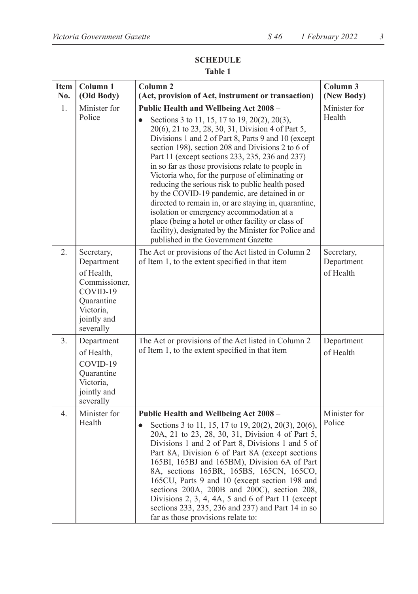| <b>Item</b><br>No. | Column 1<br>(Old Body)                                                                                                     | Column <sub>2</sub><br>(Act, provision of Act, instrument or transaction)                                                                                                                                                                                                                                                                                                                                                                                                                                                                                                                                                                                                                                                                                                           | Column 3<br>(New Body)                |
|--------------------|----------------------------------------------------------------------------------------------------------------------------|-------------------------------------------------------------------------------------------------------------------------------------------------------------------------------------------------------------------------------------------------------------------------------------------------------------------------------------------------------------------------------------------------------------------------------------------------------------------------------------------------------------------------------------------------------------------------------------------------------------------------------------------------------------------------------------------------------------------------------------------------------------------------------------|---------------------------------------|
| 1.                 | Minister for<br>Police                                                                                                     | Public Health and Wellbeing Act 2008 -<br>Sections 3 to 11, 15, 17 to 19, 20(2), 20(3),<br>20(6), 21 to 23, 28, 30, 31, Division 4 of Part 5,<br>Divisions 1 and 2 of Part 8, Parts 9 and 10 (except<br>section 198), section 208 and Divisions 2 to 6 of<br>Part 11 (except sections 233, 235, 236 and 237)<br>in so far as those provisions relate to people in<br>Victoria who, for the purpose of eliminating or<br>reducing the serious risk to public health posed<br>by the COVID-19 pandemic, are detained in or<br>directed to remain in, or are staying in, quarantine,<br>isolation or emergency accommodation at a<br>place (being a hotel or other facility or class of<br>facility), designated by the Minister for Police and<br>published in the Government Gazette | Minister for<br>Health                |
| 2.                 | Secretary,<br>Department<br>of Health,<br>Commissioner,<br>COVID-19<br>Quarantine<br>Victoria,<br>jointly and<br>severally | The Act or provisions of the Act listed in Column 2<br>of Item 1, to the extent specified in that item                                                                                                                                                                                                                                                                                                                                                                                                                                                                                                                                                                                                                                                                              | Secretary,<br>Department<br>of Health |
| 3.                 | Department<br>of Health,<br>COVID-19<br>Quarantine<br>Victoria,<br>jointly and<br>severally                                | The Act or provisions of the Act listed in Column 2<br>of Item 1, to the extent specified in that item                                                                                                                                                                                                                                                                                                                                                                                                                                                                                                                                                                                                                                                                              | Department<br>of Health               |
| 4.                 | Minister for<br>Health                                                                                                     | Public Health and Wellbeing Act 2008 -<br>Sections 3 to 11, 15, 17 to 19, 20(2), 20(3), 20(6),<br>$\bullet$<br>20A, 21 to 23, 28, 30, 31, Division 4 of Part 5,<br>Divisions 1 and 2 of Part 8, Divisions 1 and 5 of<br>Part 8A, Division 6 of Part 8A (except sections<br>165BI, 165BJ and 165BM), Division 6A of Part<br>8A, sections 165BR, 165BS, 165CN, 165CO,<br>165CU, Parts 9 and 10 (except section 198 and<br>sections 200A, 200B and 200C), section 208,<br>Divisions 2, 3, 4, 4A, 5 and 6 of Part 11 (except<br>sections 233, 235, 236 and 237) and Part 14 in so                                                                                                                                                                                                       | Minister for<br>Police                |

far as those provisions relate to:

## **SCHEDULE**

### **Table 1**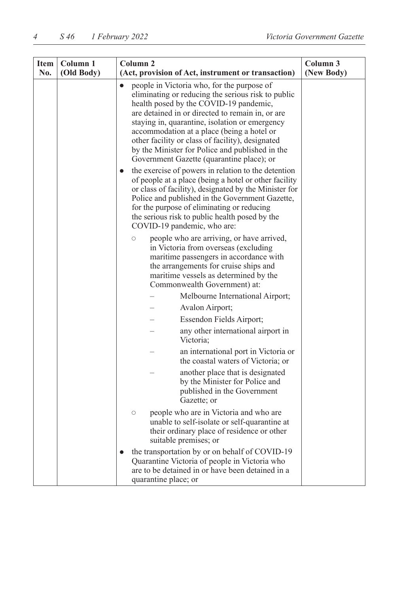| <b>Item</b><br>No. | Column 1<br>(Old Body) | Column <sub>2</sub><br>(Act, provision of Act, instrument or transaction)                                                                                                                                                                                                                                                                                                                                                                          | Column 3<br>(New Body) |
|--------------------|------------------------|----------------------------------------------------------------------------------------------------------------------------------------------------------------------------------------------------------------------------------------------------------------------------------------------------------------------------------------------------------------------------------------------------------------------------------------------------|------------------------|
|                    |                        | people in Victoria who, for the purpose of<br>eliminating or reducing the serious risk to public<br>health posed by the COVID-19 pandemic,<br>are detained in or directed to remain in, or are<br>staying in, quarantine, isolation or emergency<br>accommodation at a place (being a hotel or<br>other facility or class of facility), designated<br>by the Minister for Police and published in the<br>Government Gazette (quarantine place); or |                        |
|                    |                        | the exercise of powers in relation to the detention<br>$\bullet$<br>of people at a place (being a hotel or other facility<br>or class of facility), designated by the Minister for<br>Police and published in the Government Gazette,<br>for the purpose of eliminating or reducing<br>the serious risk to public health posed by the<br>COVID-19 pandemic, who are:                                                                               |                        |
|                    |                        | people who are arriving, or have arrived,<br>$\circ$<br>in Victoria from overseas (excluding<br>maritime passengers in accordance with<br>the arrangements for cruise ships and<br>maritime vessels as determined by the<br>Commonwealth Government) at:                                                                                                                                                                                           |                        |
|                    |                        | Melbourne International Airport;                                                                                                                                                                                                                                                                                                                                                                                                                   |                        |
|                    |                        | Avalon Airport;                                                                                                                                                                                                                                                                                                                                                                                                                                    |                        |
|                    |                        | Essendon Fields Airport;<br>any other international airport in<br>Victoria;                                                                                                                                                                                                                                                                                                                                                                        |                        |
|                    |                        | an international port in Victoria or<br>the coastal waters of Victoria; or                                                                                                                                                                                                                                                                                                                                                                         |                        |
|                    |                        | another place that is designated<br>by the Minister for Police and<br>published in the Government<br>Gazette; or                                                                                                                                                                                                                                                                                                                                   |                        |
|                    |                        | people who are in Victoria and who are<br>$\circlearrowright$<br>unable to self-isolate or self-quarantine at<br>their ordinary place of residence or other<br>suitable premises; or                                                                                                                                                                                                                                                               |                        |
|                    |                        | the transportation by or on behalf of COVID-19<br>Quarantine Victoria of people in Victoria who<br>are to be detained in or have been detained in a<br>quarantine place; or                                                                                                                                                                                                                                                                        |                        |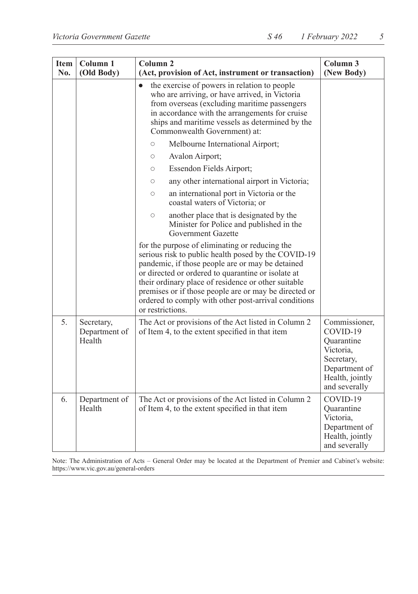| <b>Item</b><br>No. | Column 1<br>(Old Body)                | Column <sub>2</sub><br>(Act, provision of Act, instrument or transaction)                                                                                                                                                                                                                                                                                                                                   | Column 3<br>(New Body)                                                                                                  |
|--------------------|---------------------------------------|-------------------------------------------------------------------------------------------------------------------------------------------------------------------------------------------------------------------------------------------------------------------------------------------------------------------------------------------------------------------------------------------------------------|-------------------------------------------------------------------------------------------------------------------------|
|                    |                                       | the exercise of powers in relation to people<br>$\bullet$<br>who are arriving, or have arrived, in Victoria<br>from overseas (excluding maritime passengers<br>in accordance with the arrangements for cruise<br>ships and maritime vessels as determined by the<br>Commonwealth Government) at:                                                                                                            |                                                                                                                         |
|                    |                                       | Melbourne International Airport;<br>$\circ$                                                                                                                                                                                                                                                                                                                                                                 |                                                                                                                         |
|                    |                                       | Avalon Airport;<br>$\circ$                                                                                                                                                                                                                                                                                                                                                                                  |                                                                                                                         |
|                    |                                       | Essendon Fields Airport;<br>O                                                                                                                                                                                                                                                                                                                                                                               |                                                                                                                         |
|                    |                                       | any other international airport in Victoria;<br>$\circ$                                                                                                                                                                                                                                                                                                                                                     |                                                                                                                         |
|                    |                                       | an international port in Victoria or the<br>$\circ$<br>coastal waters of Victoria; or                                                                                                                                                                                                                                                                                                                       |                                                                                                                         |
|                    |                                       | another place that is designated by the<br>$\bigcirc$<br>Minister for Police and published in the<br>Government Gazette                                                                                                                                                                                                                                                                                     |                                                                                                                         |
|                    |                                       | for the purpose of eliminating or reducing the<br>serious risk to public health posed by the COVID-19<br>pandemic, if those people are or may be detained<br>or directed or ordered to quarantine or isolate at<br>their ordinary place of residence or other suitable<br>premises or if those people are or may be directed or<br>ordered to comply with other post-arrival conditions<br>or restrictions. |                                                                                                                         |
| 5.                 | Secretary,<br>Department of<br>Health | The Act or provisions of the Act listed in Column 2<br>of Item 4, to the extent specified in that item                                                                                                                                                                                                                                                                                                      | Commissioner,<br>COVID-19<br>Quarantine<br>Victoria,<br>Secretary,<br>Department of<br>Health, jointly<br>and severally |
| 6.                 | Department of<br>Health               | The Act or provisions of the Act listed in Column 2<br>of Item 4, to the extent specified in that item                                                                                                                                                                                                                                                                                                      | COVID-19<br>Quarantine<br>Victoria,<br>Department of<br>Health, jointly<br>and severally                                |

Note: The Administration of Acts – General Order may be located at the Department of Premier and Cabinet's website: https://www.vic.gov.au/general-orders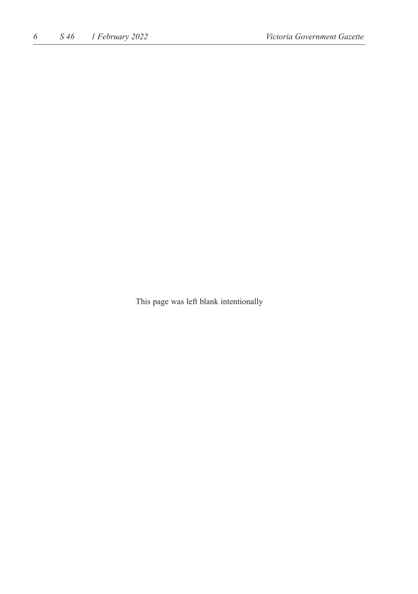This page was left blank intentionally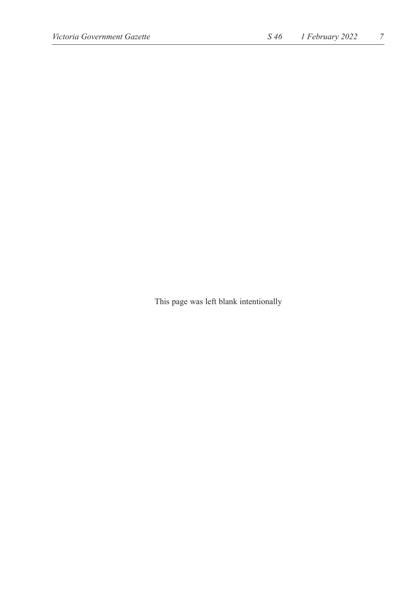This page was left blank intentionally